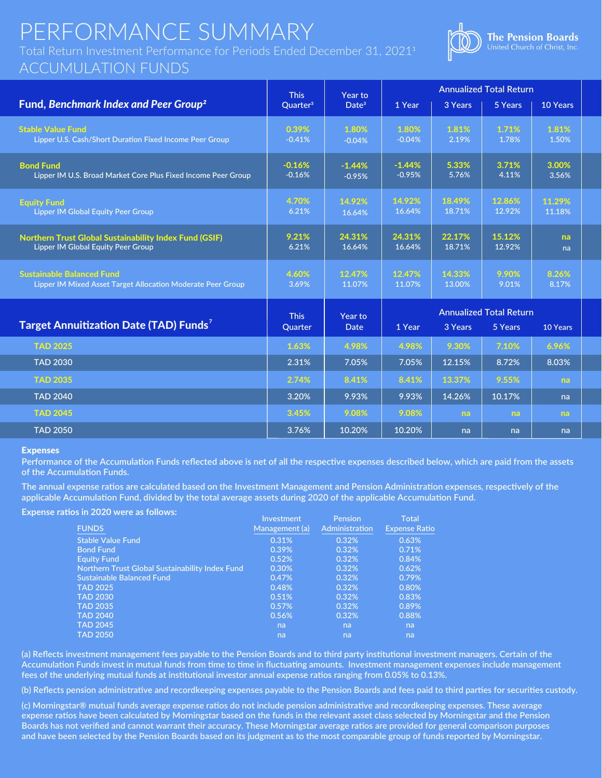## PERFORMANCE SUMMARY

Total Return Investment Performance for Periods Ended December 31, 20211

### ACCUMULATION FUNDS



|                                                                                                            | <b>This</b>            | Year to                |                      | <b>Annualized Total Return</b>                                   |                  |                  |
|------------------------------------------------------------------------------------------------------------|------------------------|------------------------|----------------------|------------------------------------------------------------------|------------------|------------------|
| Fund, Benchmark Index and Peer Group <sup>2</sup>                                                          | Quarter <sup>3</sup>   | Date <sup>3</sup>      | 1 Year               | 3 Years                                                          | 5 Years          | 10 Years         |
| <b>Stable Value Fund</b><br>Lipper U.S. Cash/Short Duration Fixed Income Peer Group                        | 0.39%<br>$-0.41%$      | 1.80%<br>$-0.04%$      | 1.80%<br>$-0.04%$    | 1.81%<br>2.19%                                                   | 1.71%<br>1.78%   | 1.81%<br>1.50%   |
| <b>Bond Fund</b><br>Lipper IM U.S. Broad Market Core Plus Fixed Income Peer Group                          | $-0.16%$<br>$-0.16%$   | $-1.44%$<br>$-0.95%$   | $-1.44%$<br>$-0.95%$ | 5.33%<br>5.76%                                                   | 3.71%<br>4.11%   | 3.00%<br>3.56%   |
| <b>Equity Fund</b><br><b>Lipper IM Global Equity Peer Group</b>                                            | 4.70%<br>6.21%         | 14.92%<br>16.64%       | 14.92%<br>16.64%     | 18.49%<br>18.71%                                                 | 12.86%<br>12.92% | 11.29%<br>11.18% |
| <b>Northern Trust Global Sustainability Index Fund (GSIF)</b><br><b>Lipper IM Global Equity Peer Group</b> | 9.21%<br>6.21%         | 24.31%<br>16.64%       | 24.31%<br>16.64%     | 22.17%<br>18.71%                                                 | 15.12%<br>12.92% | na<br>na         |
| <b>Sustainable Balanced Fund</b><br>Lipper IM Mixed Asset Target Allocation Moderate Peer Group            | 4.60%<br>3.69%         | 12.47%<br>11.07%       | 12.47%<br>11.07%     | 14.33%<br>13.00%                                                 | 9.90%<br>9.01%   | 8.26%<br>8.17%   |
| Target Annuitization Date (TAD) Funds <sup>7</sup>                                                         | <b>This</b><br>Quarter | Year to<br><b>Date</b> | 1 Year               | <b>Annualized Total Return</b><br>3 Years<br>5 Years<br>10 Years |                  |                  |
| <b>TAD 2025</b>                                                                                            | 1.63%                  | 4.98%                  | 4.98%                | 9.30%                                                            | 7.10%            | 6.96%            |
| <b>TAD 2030</b>                                                                                            | 2.31%                  | 7.05%                  | 7.05%                | 12.15%                                                           | 8.72%            | 8.03%            |
| <b>TAD 2035</b>                                                                                            | 2.74%                  | 8.41%                  | 8.41%                | 13.37%                                                           | 9.55%            | na.              |
| <b>TAD 2040</b>                                                                                            | 3.20%                  | 9.93%                  | 9.93%                | 14.26%                                                           | 10.17%           | na               |
| <b>TAD 2045</b>                                                                                            | 3.45%                  | 9.08%                  | 9.08%                | <b>na</b>                                                        | na               | <b>na</b>        |
| <b>TAD 2050</b>                                                                                            | 3.76%                  | 10.20%                 | 10.20%               | na                                                               | na               | na               |

#### Expenses

**Performance of the Accumulation Funds reflected above is net of all the respective expenses described below, which are paid from the assets of the Accumulation Funds.** 

**The annual expense ratios are calculated based on the Investment Management and Pension Administration expenses, respectively of the applicable Accumulation Fund, divided by the total average assets during 2020 of the applicable Accumulation Fund.**

**Expense ratios in 2020 were as follows:**

|                                                        | Investment     | <b>Pension</b> | Total                |
|--------------------------------------------------------|----------------|----------------|----------------------|
| <b>FUNDS</b>                                           | Management (a) | Administration | <b>Expense Ratio</b> |
| <b>Stable Value Fund</b>                               | 0.31%          | 0.32%          | 0.63%                |
| <b>Bond Fund</b>                                       | 0.39%          | 0.32%          | 0.71%                |
| <b>Equity Fund</b>                                     | 0.52%          | 0.32%          | 0.84%                |
| <b>Northern Trust Global Sustainability Index Fund</b> | 0.30%          | 0.32%          | 0.62%                |
| <b>Sustainable Balanced Fund</b>                       | 0.47%          | 0.32%          | 0.79%                |
| <b>TAD 2025</b>                                        | 0.48%          | 0.32%          | 0.80%                |
| <b>TAD 2030</b>                                        | 0.51%          | 0.32%          | 0.83%                |
| <b>TAD 2035</b>                                        | 0.57%          | 0.32%          | 0.89%                |
| <b>TAD 2040</b>                                        | 0.56%          | 0.32%          | 0.88%                |
| <b>TAD 2045</b>                                        | na             | na             | na                   |
| <b>TAD 2050</b>                                        | na             | na             | na                   |

**(a) Reflects investment management fees payable to the Pension Boards and to third party institutional investment managers. Certain of the Accumulation Funds invest in mutual funds from time to time in fluctuating amounts. Investment management expenses include management fees of the underlying mutual funds at institutional investor annual expense ratios ranging from 0.05% to 0.13%.**

**(b) Reflects pension administrative and recordkeeping expenses payable to the Pension Boards and fees paid to third parties for securities custody.**

**(c) Morningstar® mutual funds average expense ratios do not include pension administrative and recordkeeping expenses. These average expense ratios have been calculated by Morningstar based on the funds in the relevant asset class selected by Morningstar and the Pension Boards has not verified and cannot warrant their accuracy. These Morningstar average ratios are provided for general comparison purposes and have been selected by the Pension Boards based on its judgment as to the most comparable group of funds reported by Morningstar.**